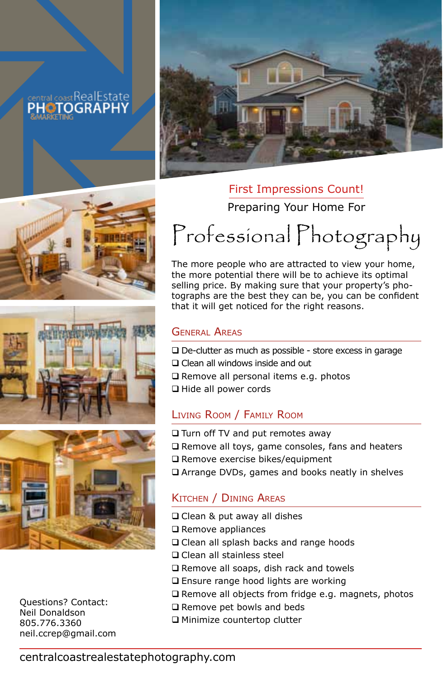# central coast RealEstate **PHOTOGRAPH**







Questions? Contact: Neil Donaldson 805.776.3360 neil.ccrep@gmail.com



## First Impressions Count!

Preparing Your Home For

# Professional Photography

The more people who are attracted to view your home, the more potential there will be to achieve its optimal selling price. By making sure that your property's photographs are the best they can be, you can be confident that it will get noticed for the right reasons.

## General Areas

 $\square$  De-clutter as much as possible - store excess in garage □ Clean all windows inside and out  $\square$  Remove all personal items e.g. photos Hide all power cords

## Living Room / Family Room

□ Turn off TV and put remotes away  $\Box$  Remove all toys, game consoles, fans and heaters □ Remove exercise bikes/equipment Arrange DVDs, games and books neatly in shelves

# Kitchen / Dining Areas

- Clean & put away all dishes
- $\square$  Remove appliances
- □ Clean all splash backs and range hoods
- **Q** Clean all stainless steel
- □ Remove all soaps, dish rack and towels
- □ Ensure range hood lights are working
- $\Box$  Remove all objects from fridge e.g. magnets, photos
- □ Remove pet bowls and beds
- Minimize countertop clutter